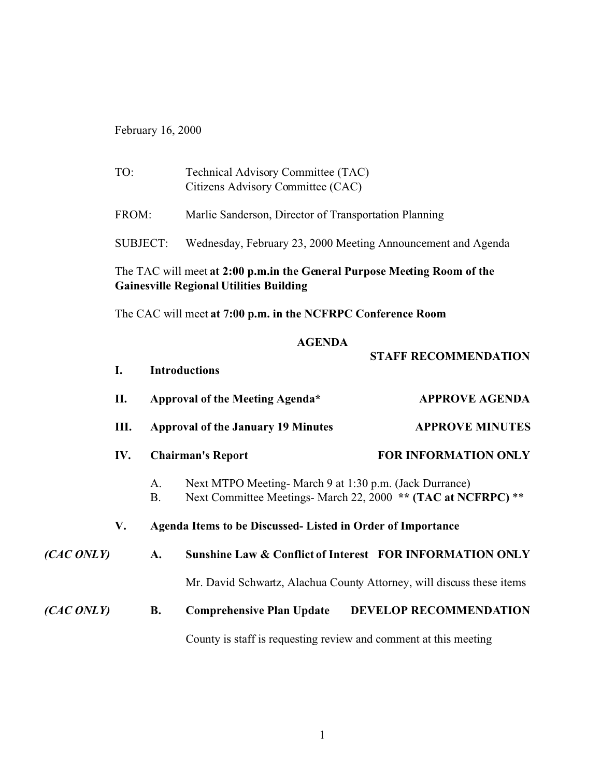February 16, 2000

| TO:                                                                                                                        | Technical Advisory Committee (TAC)<br>Citizens Advisory Committee (CAC) |  |  |  |  |
|----------------------------------------------------------------------------------------------------------------------------|-------------------------------------------------------------------------|--|--|--|--|
| FROM:                                                                                                                      | Marlie Sanderson, Director of Transportation Planning                   |  |  |  |  |
| SUBJECT:                                                                                                                   | Wednesday, February 23, 2000 Meeting Announcement and Agenda            |  |  |  |  |
| The TAC will meet at 2:00 p.m.in the General Purpose Meeting Room of the<br><b>Gainesville Regional Utilities Building</b> |                                                                         |  |  |  |  |

The CAC will meet **at 7:00 p.m. in the NCFRPC Conference Room**

#### **AGENDA**

|           |     |           |                                                                                                                          | <b>STAFF RECOMMENDATION</b>                           |  |  |  |
|-----------|-----|-----------|--------------------------------------------------------------------------------------------------------------------------|-------------------------------------------------------|--|--|--|
|           | I.  |           | <b>Introductions</b>                                                                                                     |                                                       |  |  |  |
|           | П.  |           | Approval of the Meeting Agenda*                                                                                          | <b>APPROVE AGENDA</b>                                 |  |  |  |
|           | Ш.  |           | <b>Approval of the January 19 Minutes</b>                                                                                | <b>APPROVE MINUTES</b><br><b>FOR INFORMATION ONLY</b> |  |  |  |
|           | IV. |           | <b>Chairman's Report</b>                                                                                                 |                                                       |  |  |  |
|           |     | A.<br>B.  | Next MTPO Meeting- March 9 at 1:30 p.m. (Jack Durrance)<br>Next Committee Meetings- March 22, 2000 ** (TAC at NCFRPC) ** |                                                       |  |  |  |
|           | V.  |           | Agenda Items to be Discussed- Listed in Order of Importance                                                              |                                                       |  |  |  |
| (CACONLY) |     | A.        | Sunshine Law & Conflict of Interest FOR INFORMATION ONLY                                                                 |                                                       |  |  |  |
|           |     |           | Mr. David Schwartz, Alachua County Attorney, will discuss these items                                                    |                                                       |  |  |  |
| (CACONLY) |     | <b>B.</b> | <b>Comprehensive Plan Update</b>                                                                                         | <b>DEVELOP RECOMMENDATION</b>                         |  |  |  |
|           |     |           | County is staff is requesting review and comment at this meeting                                                         |                                                       |  |  |  |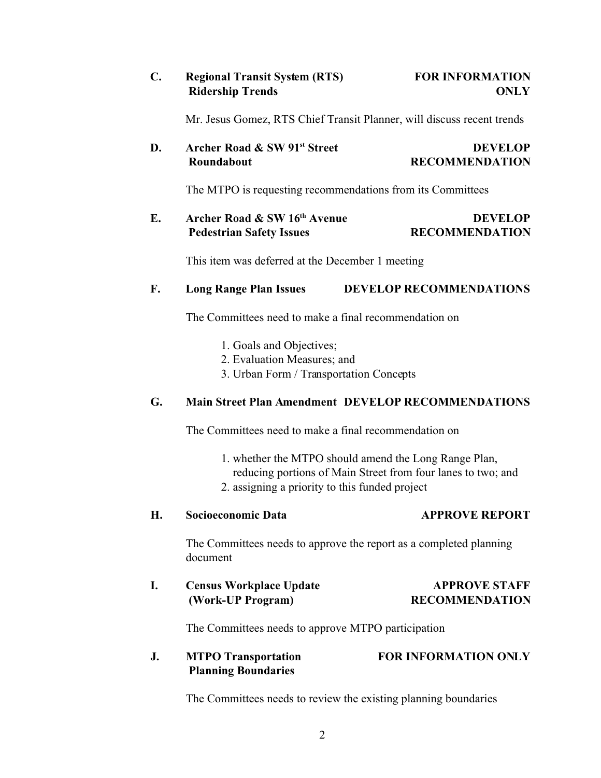## **C. Regional Transit System (RTS) FOR INFORMATION Ridership Trends ONLY**

Mr. Jesus Gomez, RTS Chief Transit Planner, will discuss recent trends

### **D. Archer Road & SW 91<sup>st</sup>** Street **DEVELOP RECOMMENDATION**

The MTPO is requesting recommendations from its Committees

## **E. Archer Road & SW 16th Avenue DEVELOP Pedestrian Safety Issues RECOMMENDATION**

This item was deferred at the December 1 meeting

#### **F. Long Range Plan Issues DEVELOP RECOMMENDATIONS**

The Committees need to make a final recommendation on

- 1. Goals and Objectives;
- 2. Evaluation Measures; and
- 3. Urban Form / Transportation Concepts

#### **G. Main Street Plan Amendment DEVELOP RECOMMENDATIONS**

The Committees need to make a final recommendation on

- 1. whether the MTPO should amend the Long Range Plan,
- reducing portions of Main Street from four lanes to two; and
- 2. assigning a priority to this funded project

#### **H. Socioeconomic Data APPROVE REPORT**

The Committees needs to approve the report as a completed planning document

# **I. Census Workplace Update APPROVE STAFF (Work-UP Program) RECOMMENDATION**

The Committees needs to approve MTPO participation

## **J. MTPO Transportation FOR INFORMATION ONLY Planning Boundaries**

The Committees needs to review the existing planning boundaries